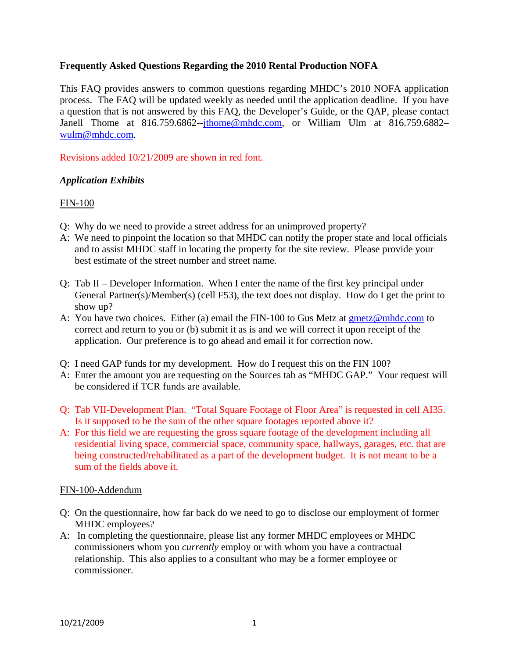### **Frequently Asked Questions Regarding the 2010 Rental Production NOFA**

This FAQ provides answers to common questions regarding MHDC's 2010 NOFA application process. The FAQ will be updated weekly as needed until the application deadline. If you have a question that is not answered by this FAQ, the Developer's Guide, or the QAP, please contact Janell Thome at 816.759.6862--jthome@mhdc.com, or William Ulm at 816.759.6882wulm@mhdc.com.

Revisions added 10/21/2009 are shown in red font.

### *Application Exhibits*

#### FIN-100

- Q: Why do we need to provide a street address for an unimproved property?
- A: We need to pinpoint the location so that MHDC can notify the proper state and local officials and to assist MHDC staff in locating the property for the site review. Please provide your best estimate of the street number and street name.
- Q: Tab II Developer Information. When I enter the name of the first key principal under General Partner(s)/Member(s) (cell F53), the text does not display. How do I get the print to show up?
- A: You have two choices. Either (a) email the FIN-100 to Gus Metz at  $g$ metz@mhdc.com to correct and return to you or (b) submit it as is and we will correct it upon receipt of the application. Our preference is to go ahead and email it for correction now.
- Q: I need GAP funds for my development. How do I request this on the FIN 100?
- A: Enter the amount you are requesting on the Sources tab as "MHDC GAP." Your request will be considered if TCR funds are available.
- Q: Tab VII-Development Plan. "Total Square Footage of Floor Area" is requested in cell AI35. Is it supposed to be the sum of the other square footages reported above it?
- A: For this field we are requesting the gross square footage of the development including all residential living space, commercial space, community space, hallways, garages, etc. that are being constructed/rehabilitated as a part of the development budget. It is not meant to be a sum of the fields above it.

#### FIN-100-Addendum

- Q: On the questionnaire, how far back do we need to go to disclose our employment of former MHDC employees?
- A: In completing the questionnaire, please list any former MHDC employees or MHDC commissioners whom you *currently* employ or with whom you have a contractual relationship. This also applies to a consultant who may be a former employee or commissioner.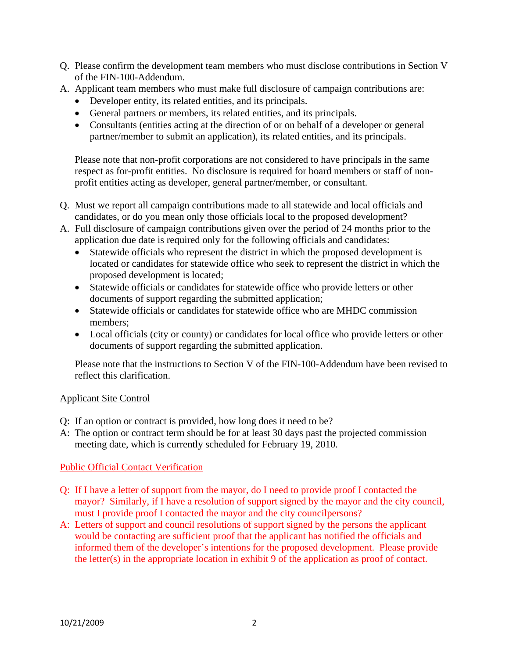- Q. Please confirm the development team members who must disclose contributions in Section V of the FIN-100-Addendum.
- A. Applicant team members who must make full disclosure of campaign contributions are:
	- Developer entity, its related entities, and its principals.
	- General partners or members, its related entities, and its principals.
	- Consultants (entities acting at the direction of or on behalf of a developer or general partner/member to submit an application), its related entities, and its principals.

 Please note that non-profit corporations are not considered to have principals in the same respect as for-profit entities. No disclosure is required for board members or staff of nonprofit entities acting as developer, general partner/member, or consultant.

- Q. Must we report all campaign contributions made to all statewide and local officials and candidates, or do you mean only those officials local to the proposed development?
- A. Full disclosure of campaign contributions given over the period of 24 months prior to the application due date is required only for the following officials and candidates:
	- Statewide officials who represent the district in which the proposed development is located or candidates for statewide office who seek to represent the district in which the proposed development is located;
	- Statewide officials or candidates for statewide office who provide letters or other documents of support regarding the submitted application;
	- Statewide officials or candidates for statewide office who are MHDC commission members;
	- Local officials (city or county) or candidates for local office who provide letters or other documents of support regarding the submitted application.

 Please note that the instructions to Section V of the FIN-100-Addendum have been revised to reflect this clarification.

# Applicant Site Control

- Q: If an option or contract is provided, how long does it need to be?
- A: The option or contract term should be for at least 30 days past the projected commission meeting date, which is currently scheduled for February 19, 2010.

# Public Official Contact Verification

- Q: If I have a letter of support from the mayor, do I need to provide proof I contacted the mayor? Similarly, if I have a resolution of support signed by the mayor and the city council, must I provide proof I contacted the mayor and the city councilpersons?
- A: Letters of support and council resolutions of support signed by the persons the applicant would be contacting are sufficient proof that the applicant has notified the officials and informed them of the developer's intentions for the proposed development. Please provide the letter(s) in the appropriate location in exhibit 9 of the application as proof of contact.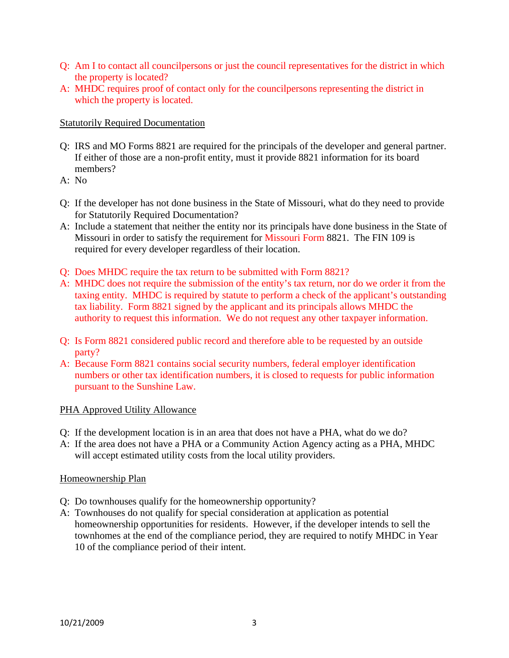- Q: Am I to contact all councilpersons or just the council representatives for the district in which the property is located?
- A: MHDC requires proof of contact only for the councilpersons representing the district in which the property is located.

### Statutorily Required Documentation

- Q: IRS and MO Forms 8821 are required for the principals of the developer and general partner. If either of those are a non-profit entity, must it provide 8821 information for its board members?
- $A: No$
- Q: If the developer has not done business in the State of Missouri, what do they need to provide for Statutorily Required Documentation?
- A: Include a statement that neither the entity nor its principals have done business in the State of Missouri in order to satisfy the requirement for Missouri Form 8821. The FIN 109 is required for every developer regardless of their location.
- Q: Does MHDC require the tax return to be submitted with Form 8821?
- A: MHDC does not require the submission of the entity's tax return, nor do we order it from the taxing entity. MHDC is required by statute to perform a check of the applicant's outstanding tax liability. Form 8821 signed by the applicant and its principals allows MHDC the authority to request this information. We do not request any other taxpayer information.
- Q: Is Form 8821 considered public record and therefore able to be requested by an outside party?
- A: Because Form 8821 contains social security numbers, federal employer identification numbers or other tax identification numbers, it is closed to requests for public information pursuant to the Sunshine Law.

# PHA Approved Utility Allowance

- Q: If the development location is in an area that does not have a PHA, what do we do?
- A: If the area does not have a PHA or a Community Action Agency acting as a PHA, MHDC will accept estimated utility costs from the local utility providers.

### Homeownership Plan

- Q: Do townhouses qualify for the homeownership opportunity?
- A: Townhouses do not qualify for special consideration at application as potential homeownership opportunities for residents. However, if the developer intends to sell the townhomes at the end of the compliance period, they are required to notify MHDC in Year 10 of the compliance period of their intent.